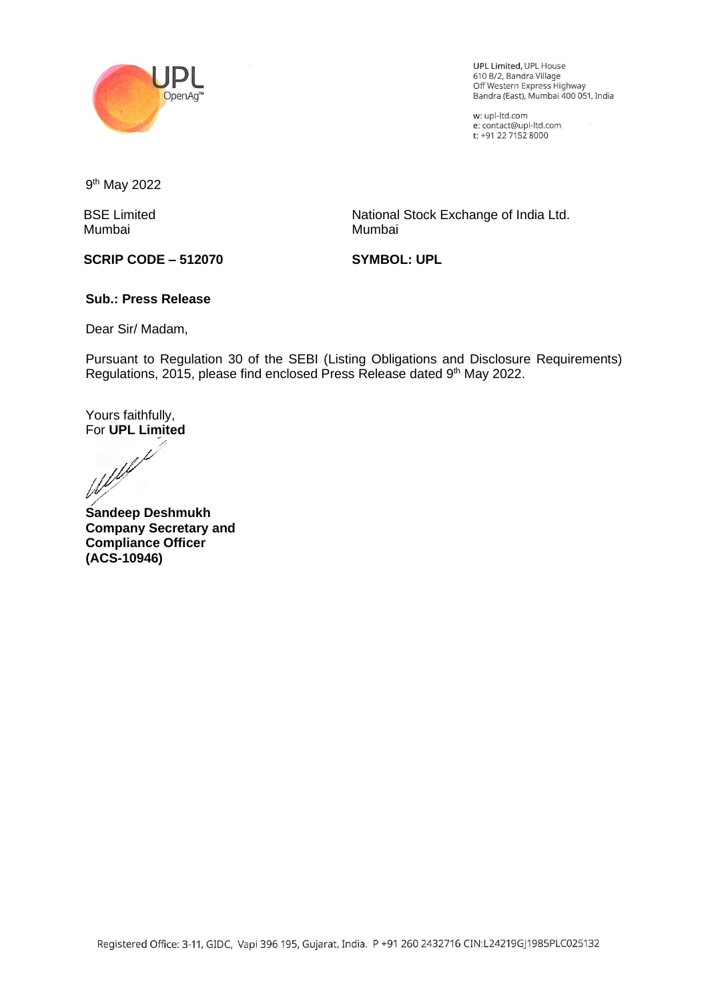

UPL Limited, UPL House 610 B/2, Bandra Village ore bray bandra 7 mage<br>Off Western Express Highway<br>Bandra (East), Mumbai 400 051, India

 $\overline{\phantom{a}}$ 

w: upl-ltd.com w: upi-itd.com<br>e: contact@upl-ltd.com<br>t: +91 22 7152 8000

9<sup>th</sup> May 2022

BSE Limited Mumbai

National Stock Exchange of India Ltd. Mumbai

**SCRIP CODE – 512070**

**SYMBOL: UPL**

## **Sub.: Press Release**

Dear Sir/ Madam,

Pursuant to Regulation 30 of the SEBI (Listing Obligations and Disclosure Requirements) Regulations, 2015, please find enclosed Press Release dated 9<sup>th</sup> May 2022.

Yours faithfully,

For **UPL Limited**

**Sandeep Deshmukh Company Secretary and Compliance Officer (ACS-10946)**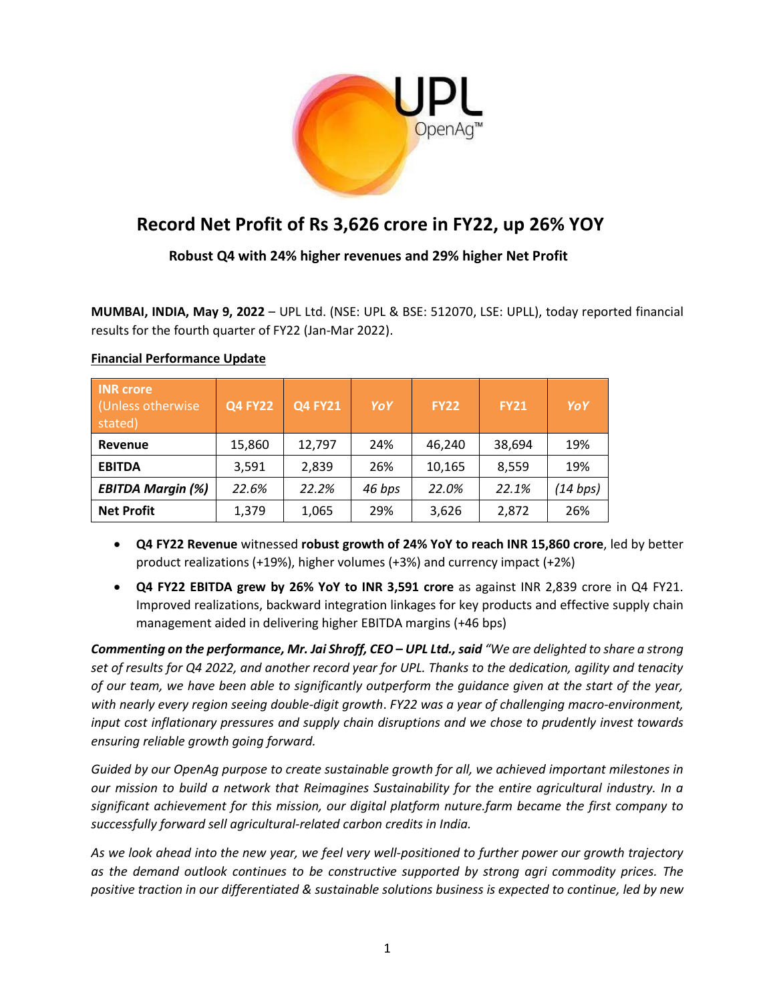

# **Record Net Profit of Rs 3,626 crore in FY22, up 26% YOY**

 **Robust Q4 with 24% higher revenues and 29% higher Net Profit**

**MUMBAI, INDIA, May 9, 2022** – UPL Ltd. (NSE: UPL & BSE: 512070, LSE: UPLL), today reported financial results for the fourth quarter of FY22 (Jan-Mar 2022).

| <b>INR</b> crore<br>(Unless otherwise)<br>stated) | <b>Q4 FY22</b> | <b>Q4 FY21</b> | YoY    | <b>FY22</b> | <b>FY21</b> | YoY      |
|---------------------------------------------------|----------------|----------------|--------|-------------|-------------|----------|
| Revenue                                           | 15,860         | 12,797         | 24%    | 46.240      | 38,694      | 19%      |
| <b>EBITDA</b>                                     | 3,591          | 2,839          | 26%    | 10,165      | 8,559       | 19%      |
| <b>EBITDA Margin (%)</b>                          | 22.6%          | 22.2%          | 46 bps | 22.0%       | 22.1%       | (14 bps) |
| <b>Net Profit</b>                                 | 1,379          | 1,065          | 29%    | 3,626       | 2,872       | 26%      |

## **Financial Performance Update**

- **Q4 FY22 Revenue** witnessed **robust growth of 24% YoY to reach INR 15,860 crore**, led by better product realizations (+19%), higher volumes (+3%) and currency impact (+2%)
- **Q4 FY22 EBITDA grew by 26% YoY to INR 3,591 crore** as against INR 2,839 crore in Q4 FY21. Improved realizations, backward integration linkages for key products and effective supply chain management aided in delivering higher EBITDA margins (+46 bps)

*Commenting on the performance, Mr. Jai Shroff, CEO – UPL Ltd.,said "We are delighted to share a strong set of results for Q4 2022, and another record year for UPL. Thanks to the dedication, agility and tenacity of our team, we have been able to significantly outperform the guidance given at the start of the year, with nearly every region seeing double-digit growth*. *FY22 was a year of challenging macro-environment, input cost inflationary pressures and supply chain disruptions and we chose to prudently invest towards ensuring reliable growth going forward.*

*Guided by our OpenAg purpose to create sustainable growth for all, we achieved important milestones in our mission to build a network that Reimagines Sustainability for the entire agricultural industry. In a significant achievement for this mission, our digital platform nuture.farm became the first company to successfully forward sell agricultural-related carbon credits in India.* 

*As we look ahead into the new year, we feel very well-positioned to further power our growth trajectory as the demand outlook continues to be constructive supported by strong agri commodity prices. The positive traction in our differentiated & sustainable solutions business is expected to continue, led by new*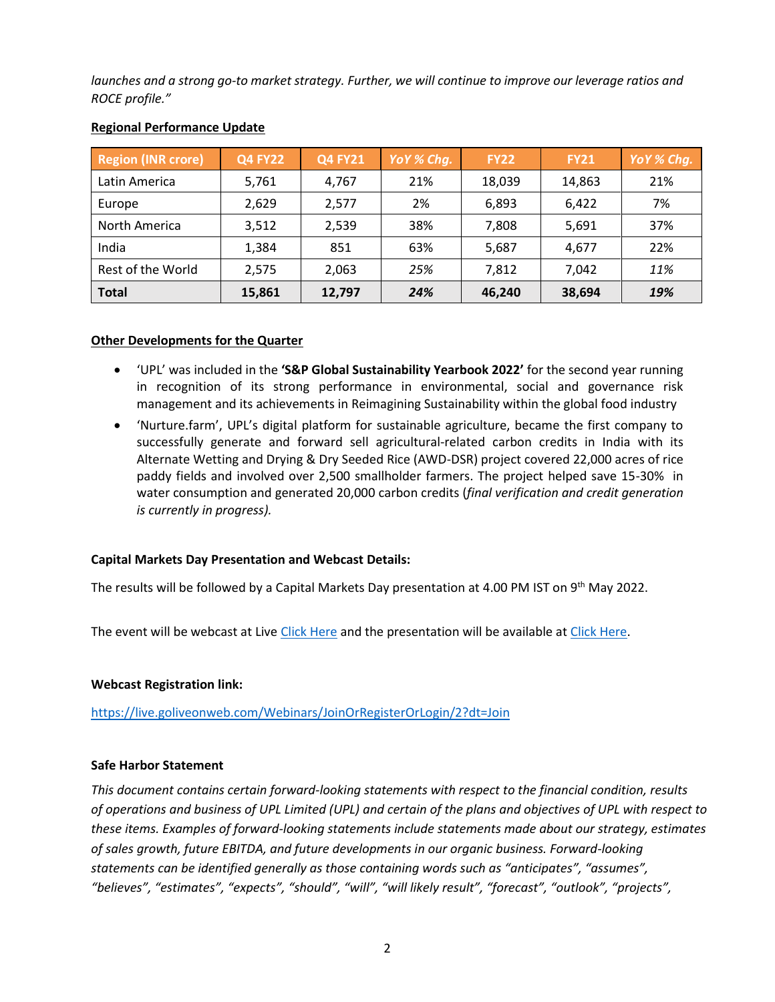*launches and a strong go-to market strategy. Further, we will continue to improve our leverage ratios and ROCE profile."*

| <b>Region (INR crore)</b> | <b>Q4 FY22</b> | <b>Q4 FY21</b> | $YoY\%$ Chg. | <b>FY22</b> | <b>FY21</b> | YoY % Chq. |
|---------------------------|----------------|----------------|--------------|-------------|-------------|------------|
| Latin America             | 5,761          | 4.767          | 21%          | 18,039      | 14,863      | 21%        |
| Europe                    | 2,629          | 2.577          | 2%           | 6,893       | 6,422       | 7%         |
| North America             | 3,512          | 2,539          | 38%          | 7,808       | 5,691       | 37%        |
| India                     | 1,384          | 851            | 63%          | 5,687       | 4,677       | 22%        |
| Rest of the World         | 2.575          | 2.063          | 25%          | 7,812       | 7,042       | 11%        |
| <b>Total</b>              | 15,861         | 12,797         | 24%          | 46,240      | 38,694      | 19%        |

## **Regional Performance Update**

## **Other Developments for the Quarter**

- 'UPL' was included in the **'S&P Global Sustainability Yearbook 2022'** for the second year running in recognition of its strong performance in environmental, social and governance risk management and its achievements in Reimagining Sustainability within the global food industry
- 'Nurture.farm', UPL's digital platform for sustainable agriculture, became the first company to successfully generate and forward sell agricultural-related carbon credits in India with its Alternate Wetting and Drying & Dry Seeded Rice (AWD-DSR) project covered 22,000 acres of rice paddy fields and involved over 2,500 smallholder farmers. The project helped save 15-30% in water consumption and generated 20,000 carbon credits (*final verification and credit generation is currently in progress).*

## **Capital Markets Day Presentation and Webcast Details:**

The results will be followed by a Capital Markets Day presentation at 4.00 PM IST on 9<sup>th</sup> May 2022.

The event will be webcast at Liv[e Click Here](https://live.goliveonweb.com/Webinars/JoinOrRegisterOrLogin/2?dt=Join) and the presentation will be available a[t Click Here.](https://www.upl-ltd.com/pdf/FY2022CapitalMarkets.pdf)

### **Webcast Registration link:**

<https://live.goliveonweb.com/Webinars/JoinOrRegisterOrLogin/2?dt=Join>

### **Safe Harbor Statement**

*This document contains certain forward-looking statements with respect to the financial condition, results of operations and business of UPL Limited (UPL) and certain of the plans and objectives of UPL with respect to these items. Examples of forward-looking statements include statements made about our strategy, estimates of sales growth, future EBITDA, and future developments in our organic business. Forward-looking statements can be identified generally as those containing words such as "anticipates", "assumes", "believes", "estimates", "expects", "should", "will", "will likely result", "forecast", "outlook", "projects",*